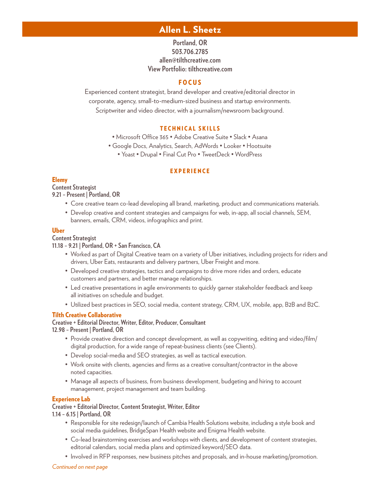# Allen L. Sheetz

# **Portland, OR 503.706.2785 allen@tilthcreative.com View Portfolio: tilthcreative.com**

# **FOCUS**

Experienced content strategist, brand developer and creative/editorial director in corporate, agency, small-to-medium-sized business and startup environments. Scriptwriter and video director, with a journalism/newsroom background.

# TECHNICAL SKILLS

• Microsoft Office 365 • Adobe Creative Suite • Slack • Asana

• Google Docs, Analytics, Search, AdWords • Looker • Hootsuite

• Yoast • Drupal • Final Cut Pro • TweetDeck • WordPress

### EXPERIENCE

# Elemy

**Content Strategist**

**9.21 – Present | Portland, OR** 

- Core creative team co-lead developing all brand, marketing, product and communications materials.
- Develop creative and content strategies and campaigns for web, in-app, all social channels, SEM, banners, emails, CRM, videos, infographics and print.

### Uber

#### **Content Strategist**

### **11.18 – 9.21 | Portland, OR + San Francisco, CA**

- Worked as part of Digital Creative team on a variety of Uber initiatives, including projects for riders and drivers, Uber Eats, restaurants and delivery partners, Uber Freight and more.
- Developed creative strategies, tactics and campaigns to drive more rides and orders, educate customers and partners, and better manage relationships.
- Led creative presentations in agile environments to quickly garner stakeholder feedback and keep all initiatives on schedule and budget.
- Utilized best practices in SEO, social media, content strategy, CRM, UX, mobile, app, B2B and B2C.

# Tilth Creative Collaborative

# **Creative + Editorial Director, Writer, Editor, Producer, Consultant**

**12.98 – Present | Portland, OR**

- Provide creative direction and concept development, as well as copywriting, editing and video/film/ digital production, for a wide range of repeat-business clients (see Clients).
- Develop social-media and SEO strategies, as well as tactical execution.
- Work onsite with clients, agencies and firms as a creative consultant/contractor in the above noted capacities.
- Manage all aspects of business, from business development, budgeting and hiring to account management, project management and team building.

# Experience Lab

# **Creative + Editorial Director, Content Strategist, Writer, Editor**

**1.14 – 6.15 | Portland, OR**

- Responsible for site redesign/launch of Cambia Health Solutions website, including a style book and social media guidelines, BridgeSpan Health website and Enigma Health website.
- Co-lead brainstorming exercises and workshops with clients, and development of content strategies, editorial calendars, social media plans and optimized keyword/SEO data.
- Involved in RFP responses, new business pitches and proposals, and in-house marketing/promotion.